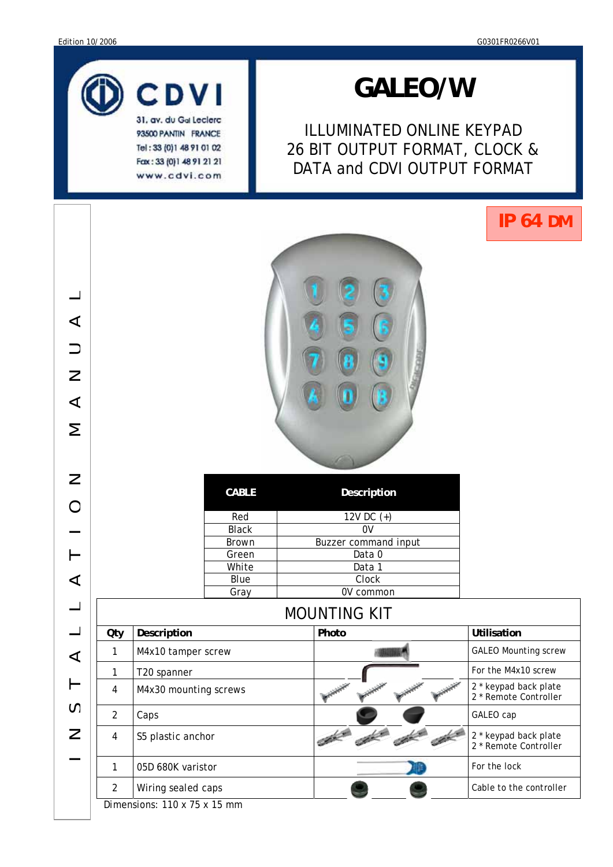

93500 PANTIN FRANCE Tel: 33 (0) 1 48 91 01 02 Fax: 33 (0) 1 48 91 21 21 www.cdvi.com

# *GALEO/W*

ILLUMINATED ONLINE KEYPAD 26 BIT OUTPUT FORMAT, CLOCK & DATA and CDVI OUTPUT FORMAT

# **IP 64 DM**



| <b>CABLE</b> | Description                 |
|--------------|-----------------------------|
| Red          | 12V DC $(+)$                |
| <b>Black</b> | ٥v                          |
| <b>Brown</b> | <b>Buzzer command input</b> |
| Green        | Data 0                      |
| White        | Data 1                      |
| Blue         | Clock                       |
| Grav         | V common                    |

| $\blacktriangleleft$<br>$\equiv$<br>$\mathsf{Z}% _{T}$<br>$\blacktriangleleft$<br>Σ                                                                                                                                                                                                                                                                                                                                                                                                |                                                |
|------------------------------------------------------------------------------------------------------------------------------------------------------------------------------------------------------------------------------------------------------------------------------------------------------------------------------------------------------------------------------------------------------------------------------------------------------------------------------------|------------------------------------------------|
| $\geq$<br><b>CABLE</b><br>Description                                                                                                                                                                                                                                                                                                                                                                                                                                              |                                                |
| $\bigcirc$<br>Red<br>12V DC (+)                                                                                                                                                                                                                                                                                                                                                                                                                                                    |                                                |
| <b>Black</b><br>$\overline{0V}$                                                                                                                                                                                                                                                                                                                                                                                                                                                    |                                                |
| Brown<br>Buzzer command input                                                                                                                                                                                                                                                                                                                                                                                                                                                      |                                                |
| Data 0<br>$\vdash$<br>Green                                                                                                                                                                                                                                                                                                                                                                                                                                                        |                                                |
| White<br>Data 1                                                                                                                                                                                                                                                                                                                                                                                                                                                                    |                                                |
| Clock<br><b>Blue</b><br>$\blacktriangleleft$                                                                                                                                                                                                                                                                                                                                                                                                                                       |                                                |
| 0V common<br>Gray                                                                                                                                                                                                                                                                                                                                                                                                                                                                  |                                                |
| <b>MOUNTING KIT</b>                                                                                                                                                                                                                                                                                                                                                                                                                                                                |                                                |
| Description<br>Photo<br>Utilisation<br>Qty                                                                                                                                                                                                                                                                                                                                                                                                                                         |                                                |
| $\mathbf{1}$<br>M4x10 tamper screw<br>$\blacktriangleleft$                                                                                                                                                                                                                                                                                                                                                                                                                         | <b>GALEO Mounting screw</b>                    |
| T20 spanner<br>1                                                                                                                                                                                                                                                                                                                                                                                                                                                                   | For the M4x10 screw                            |
| ⊢<br>M4x30 mounting screws<br>4                                                                                                                                                                                                                                                                                                                                                                                                                                                    | 2 * keypad back plate<br>2 * Remote Controller |
| S<br>$\overline{2}$<br>Caps<br>GALEO cap                                                                                                                                                                                                                                                                                                                                                                                                                                           |                                                |
| $\mathsf{Z}% _{T}=\mathsf{Z}_{T}\!\left( a,b\right) ,\ \mathsf{Z}_{T}=\mathsf{Z}_{T}\!\left( a,b\right) ,\ \mathsf{Z}_{T}=\mathsf{Z}_{T}\!\left( a,b\right) ,\ \mathsf{Z}_{T}=\mathsf{Z}_{T}\!\left( a,b\right) ,\ \mathsf{Z}_{T}=\mathsf{Z}_{T}\!\left( a,b\right) ,\ \mathsf{Z}_{T}=\mathsf{Z}_{T}\!\left( a,b\right) ,\ \mathsf{Z}_{T}=\mathsf{Z}_{T}\!\left( a,b\right) ,\ \mathsf{Z}_{T}=\mathsf{Z}_{T}\!\left( a,b\right) ,\ \mathsf{Z}_{T}=\math$<br>S5 plastic anchor<br>4 | 2 * keypad back plate<br>2 * Remote Controller |
| For the lock<br>05D 680K varistor<br>$\mathbf{1}$                                                                                                                                                                                                                                                                                                                                                                                                                                  |                                                |
| $\overline{2}$<br>Wiring sealed caps<br>Dimonomion 110 v 75 v 15 mm                                                                                                                                                                                                                                                                                                                                                                                                                | Cable to the controller                        |

Dimensions: 110 x 75 x 15 mm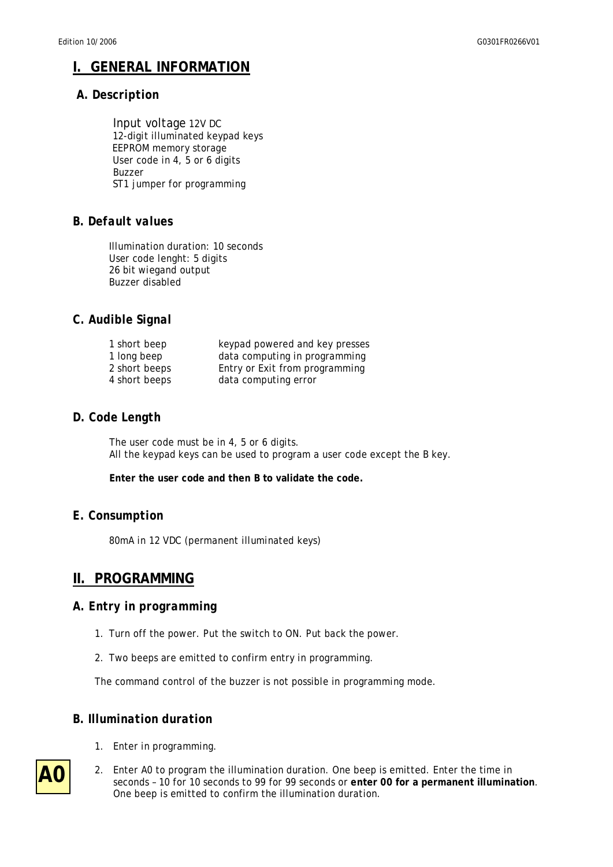# **I. GENERAL INFORMATION**

#### *A. Description*

 Input voltage 12V DC 12-digit illuminated keypad keys EEPROM memory storage User code in 4, 5 or 6 digits Buzzer ST1 jumper for programming

#### *B. Default values*

Illumination duration: 10 seconds User code lenght: 5 digits 26 bit wiegand output Buzzer disabled

#### *C. Audible Signal*

| 1 short beep  | keypad powered and key presses |
|---------------|--------------------------------|
| 1 long beep   | data computing in programming  |
| 2 short beeps | Entry or Exit from programming |
| 4 short beeps | data computing error           |

#### *D. Code Length*

The user code must be in 4, 5 or 6 digits. All the keypad keys can be used to program a user code except the B key.

**Enter the user code and then B to validate the code.** 

#### *E. Consumption*

80mA in 12 VDC (permanent illuminated keys)

## **II. PROGRAMMING**

#### *A. Entry in programming*

- 1. Turn off the power. Put the switch to ON. Put back the power.
- 2. Two beeps are emitted to confirm entry in programming.

The command control of the buzzer is not possible in programming mode.

#### *B. Illumination duration*

- 1. Enter in programming.
- 2. Enter A0 to program the illumination duration. One beep is emitted. Enter the time in seconds – 10 for 10 seconds to 99 for 99 seconds or **enter 00 for a permanent illumination**. One beep is emitted to confirm the illumination duration.

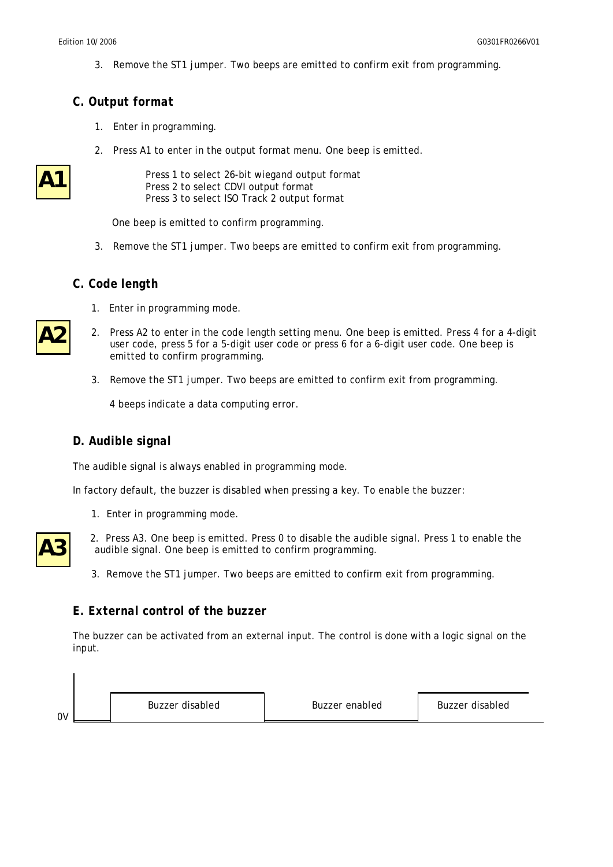3. Remove the ST1 jumper. Two beeps are emitted to confirm exit from programming.

#### *C. Output format*

- 1. Enter in programming.
- 2. Press A1 to enter in the output format menu. One beep is emitted.

| ٦ |
|---|
|---|

**A2**

 Press 1 to select 26-bit wiegand output format Press 2 to select CDVI output format Press 3 to select ISO Track 2 output format

One beep is emitted to confirm programming.

3. Remove the ST1 jumper. Two beeps are emitted to confirm exit from programming.

#### *C. Code length*

- 1. Enter in programming mode.
- 2. Press A2 to enter in the code length setting menu. One beep is emitted. Press 4 for a 4-digit user code, press 5 for a 5-digit user code or press 6 for a 6-digit user code. One beep is emitted to confirm programming.
	- 3. Remove the ST1 jumper. Two beeps are emitted to confirm exit from programming.

4 beeps indicate a data computing error.

#### *D. Audible signal*

The audible signal is always enabled in programming mode.

In factory default, the buzzer is disabled when pressing a key. To enable the buzzer:

1. Enter in programming mode.



- 2. Press A3. One beep is emitted. Press 0 to disable the audible signal. Press 1 to enable the audible signal. One beep is emitted to confirm programming.
- 3. Remove the ST1 jumper. Two beeps are emitted to confirm exit from programming.

#### *E. External control of the buzzer*

The buzzer can be activated from an external input. The control is done with a logic signal on the input.

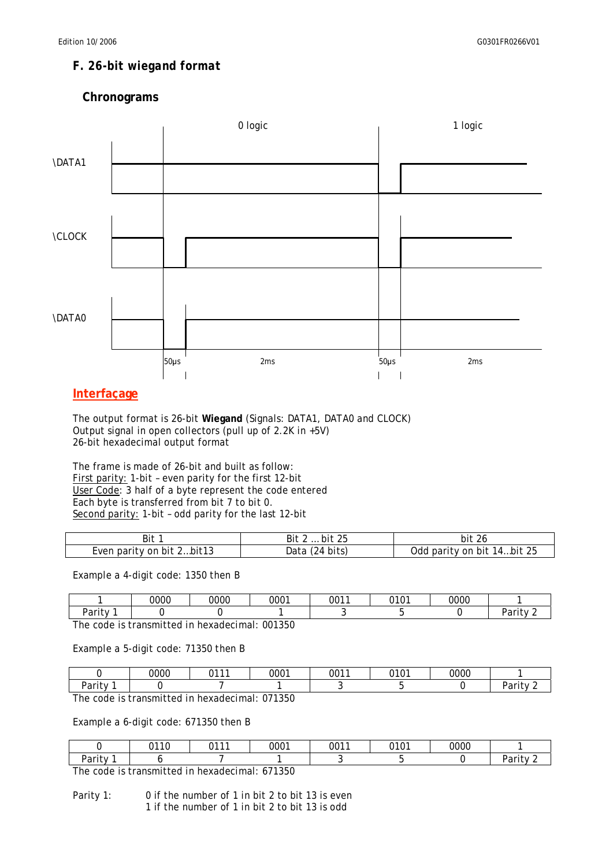# *F. 26-bit wiegand format*

#### **Chronograms**



#### **Interfaçage**

The output format is 26-bit **Wiegand** (Signals: DATA1, DATA0 and CLOCK) Output signal in open collectors (pull up of 2.2K in +5V) 26-bit hexadecimal output format

The frame is made of 26-bit and built as follow: First parity: 1-bit - even parity for the first 12-bit User Code: 3 half of a byte represent the code entered Each byte is transferred from bit 7 to bit 0. Second parity: 1-bit - odd parity for the last 12-bit

| Bit 1                     | bit 25<br>Bit              | -26<br>bit                 |
|---------------------------|----------------------------|----------------------------|
| Even parity on bit 2bit13 | $'24 \text{ bits}$<br>Data | Odd parity on bit 14bit 25 |

Example a 4-digit code: 1350 then B

|                                | 0000 | 0000 | 0001 | 0011 | <b>0101</b><br>v | 0000 |        |
|--------------------------------|------|------|------|------|------------------|------|--------|
| –<br>$100 - 120$<br>ιιν<br>-а. |      |      |      |      |                  |      | .<br>u |

The code is transmitted in hexadecimal: 001350

Example a 5-digit code: 71350 then B

|                               | 0000 | 0.4.4.4 | 0001     | 0011 | 0.404<br>◡ | 0000 |        |
|-------------------------------|------|---------|----------|------|------------|------|--------|
| .<br>$100 - 12$<br>v<br>ai it |      |         |          |      |            |      | u<br>- |
| $-1$                          | .    |         | $\cdots$ |      |            |      |        |

The code is transmitted in hexadecimal: 071350

Example a 6-digit code: 671350 then B

| $100 - 11$<br>ו ז<br>'αι |                |         |      |      |            |      | .<br>a |
|--------------------------|----------------|---------|------|------|------------|------|--------|
|                          |                |         |      |      |            |      |        |
|                          | 0.4.4.0<br>. . | 0.4.4.4 | 0001 | 0011 | 0.101<br>. | 0000 |        |

The code is transmitted in hexadecimal: 671350

Parity 1: 0 if the number of 1 in bit 2 to bit 13 is even 1 if the number of 1 in bit 2 to bit 13 is odd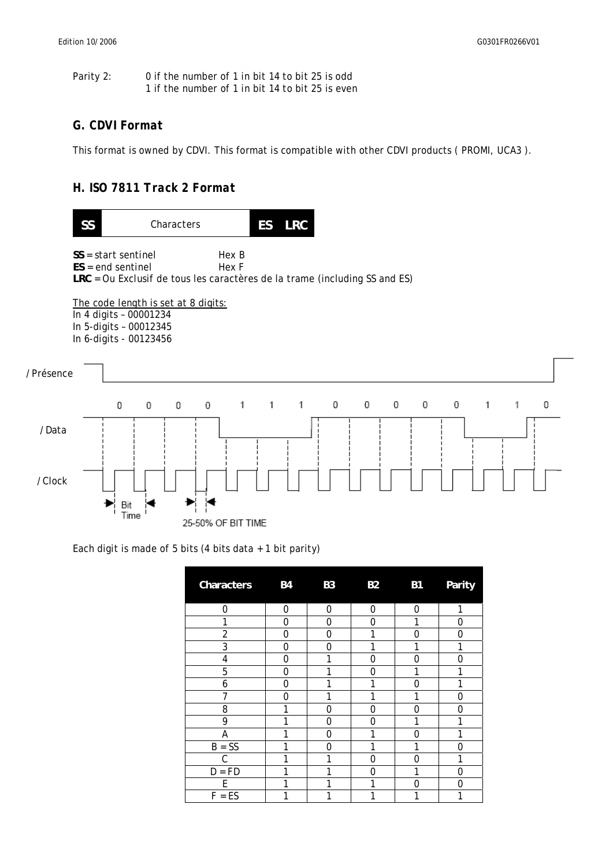| Parity 2: | 0 if the number of 1 in bit 14 to bit 25 is odd  |  |
|-----------|--------------------------------------------------|--|
|           | 1 if the number of 1 in bit 14 to bit 25 is even |  |

#### *G. CDVI Format*

This format is owned by CDVI. This format is compatible with other CDVI products ( PROMI, UCA3 ).

### *H. ISO 7811 Track 2 Format*



Each digit is made of 5 bits (4 bits data + 1 bit parity)

| Characters  | <b>B4</b>    | <b>B3</b> | <b>B2</b> | <b>B1</b> | Parity |
|-------------|--------------|-----------|-----------|-----------|--------|
| $\Omega$    | $\mathbf{0}$ | 0         | 0         | $\Omega$  |        |
| 1           | 0            | 0         | 0         | 1         | 0      |
| 2           | 0            | 0         |           | 0         | 0      |
| 3           | 0            | 0         |           | 1         | 1      |
| 4           | 0            | 1         | 0         | 0         | 0      |
| 5           | 0            | 1         | 0         | 1         | 1      |
| 6           | 0            | 1         | 1         | 0         | 1      |
| 7           | 0            | 1         | 1         | 1         | 0      |
| 8           | 1            | 0         | 0         | 0         | ი      |
| 9           | 1            | 0         | 0         | 1         | 1      |
| Α           | 1            | 0         | 1         | 0         | 1      |
| $B = SS$    | 1            | 0         | 1         | 1         | በ      |
| C           | 1            | 1         | ი         | 0         | 1      |
| $=$ FD<br>D | 1            | 1         | ი         | 1         | ი      |
| F           | 1            | 1         | 1         | 0         | ი      |
| $F = ES$    | 1            | 1         | 1         | 1         | 1      |